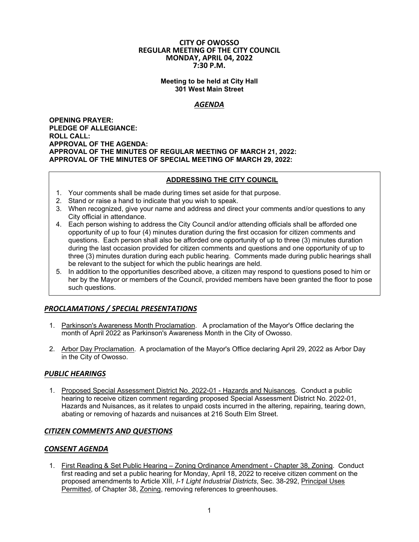#### **CITY OF OWOSSO REGULAR MEETING OF THE CITY COUNCIL MONDAY, APRIL 04, 2022 7:30 P.M.**

**Meeting to be held at City Hall 301 West Main Street** 

## *AGENDA*

**OPENING PRAYER: PLEDGE OF ALLEGIANCE: ROLL CALL: APPROVAL OF THE AGENDA: APPROVAL OF THE MINUTES OF REGULAR MEETING OF MARCH 21, 2022: APPROVAL OF THE MINUTES OF SPECIAL MEETING OF MARCH 29, 2022:** 

## **ADDRESSING THE CITY COUNCIL**

- 1. Your comments shall be made during times set aside for that purpose.
- 2. Stand or raise a hand to indicate that you wish to speak.
- 3. When recognized, give your name and address and direct your comments and/or questions to any City official in attendance.
- 4. Each person wishing to address the City Council and/or attending officials shall be afforded one opportunity of up to four (4) minutes duration during the first occasion for citizen comments and questions. Each person shall also be afforded one opportunity of up to three (3) minutes duration during the last occasion provided for citizen comments and questions and one opportunity of up to three (3) minutes duration during each public hearing. Comments made during public hearings shall be relevant to the subject for which the public hearings are held.
- 5. In addition to the opportunities described above, a citizen may respond to questions posed to him or her by the Mayor or members of the Council, provided members have been granted the floor to pose such questions.

# *PROCLAMATIONS / SPECIAL PRESENTATIONS*

- 1. Parkinson's Awareness Month Proclamation. A proclamation of the Mayor's Office declaring the month of April 2022 as Parkinson's Awareness Month in the City of Owosso.
- 2. Arbor Day Proclamation. A proclamation of the Mayor's Office declaring April 29, 2022 as Arbor Day in the City of Owosso.

## *PUBLIC HEARINGS*

1. Proposed Special Assessment District No. 2022-01 - Hazards and Nuisances. Conduct a public hearing to receive citizen comment regarding proposed Special Assessment District No. 2022-01, Hazards and Nuisances, as it relates to unpaid costs incurred in the altering, repairing, tearing down, abating or removing of hazards and nuisances at 216 South Elm Street.

## *CITIZEN COMMENTS AND QUESTIONS*

## *CONSENT AGENDA*

1. First Reading & Set Public Hearing – Zoning Ordinance Amendment - Chapter 38, Zoning. Conduct first reading and set a public hearing for Monday, April 18, 2022 to receive citizen comment on the proposed amendments to Article XIII, *I-1 Light Industrial Districts*, Sec. 38-292, Principal Uses Permitted, of Chapter 38, Zoning, removing references to greenhouses.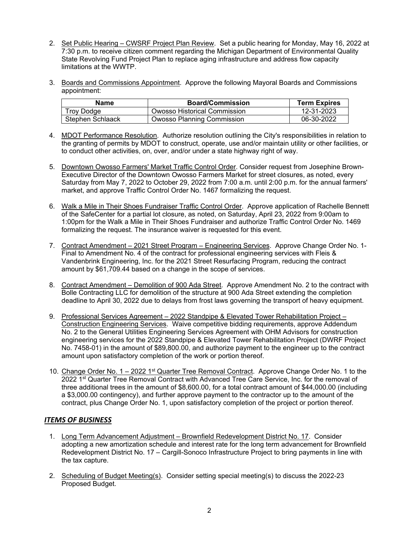- 2. Set Public Hearing CWSRF Project Plan Review. Set a public hearing for Monday, May 16, 2022 at 7:30 p.m. to receive citizen comment regarding the Michigan Department of Environmental Quality State Revolving Fund Project Plan to replace aging infrastructure and address flow capacity limitations at the WWTP.
- 3. Boards and Commissions Appointment. Approve the following Mayoral Boards and Commissions appointment:

| <b>Name</b>      | <b>Board/Commission</b>      | <b>Term Expires</b> |
|------------------|------------------------------|---------------------|
| Troy Dodge       | Owosso Historical Commission | 12-31-2023          |
| Stephen Schlaack | Owosso Planning Commission   | 06-30-2022          |

- 4. MDOT Performance Resolution. Authorize resolution outlining the City's responsibilities in relation to the granting of permits by MDOT to construct, operate, use and/or maintain utility or other facilities, or to conduct other activities, on, over, and/or under a state highway right of way.
- 5. Downtown Owosso Farmers' Market Traffic Control Order. Consider request from Josephine Brown-Executive Director of the Downtown Owosso Farmers Market for street closures, as noted, every Saturday from May 7, 2022 to October 29, 2022 from 7:00 a.m. until 2:00 p.m. for the annual farmers' market, and approve Traffic Control Order No. 1467 formalizing the request.
- 6. Walk a Mile in Their Shoes Fundraiser Traffic Control Order. Approve application of Rachelle Bennett of the SafeCenter for a partial lot closure, as noted, on Saturday, April 23, 2022 from 9:00am to 1:00pm for the Walk a Mile in Their Shoes Fundraiser and authorize Traffic Control Order No. 1469 formalizing the request. The insurance waiver is requested for this event.
- 7. Contract Amendment 2021 Street Program Engineering Services. Approve Change Order No. 1- Final to Amendment No. 4 of the contract for professional engineering services with Fleis & Vandenbrink Engineering, Inc. for the 2021 Street Resurfacing Program, reducing the contract amount by \$61,709.44 based on a change in the scope of services.
- 8. Contract Amendment Demolition of 900 Ada Street. Approve Amendment No. 2 to the contract with Bolle Contracting LLC for demolition of the structure at 900 Ada Street extending the completion deadline to April 30, 2022 due to delays from frost laws governing the transport of heavy equipment.
- 9. Professional Services Agreement 2022 Standpipe & Elevated Tower Rehabilitation Project Construction Engineering Services. Waive competitive bidding requirements, approve Addendum No. 2 to the General Utilities Engineering Services Agreement with OHM Advisors for construction engineering services for the 2022 Standpipe & Elevated Tower Rehabilitation Project (DWRF Project No. 7458-01) in the amount of \$89,800.00, and authorize payment to the engineer up to the contract amount upon satisfactory completion of the work or portion thereof.
- 10. Change Order No. 1 2022 1<sup>st</sup> Quarter Tree Removal Contract. Approve Change Order No. 1 to the 2022 1<sup>st</sup> Quarter Tree Removal Contract with Advanced Tree Care Service, Inc. for the removal of three additional trees in the amount of \$8,600.00, for a total contract amount of \$44,000.00 (including a \$3,000.00 contingency), and further approve payment to the contractor up to the amount of the contract, plus Change Order No. 1, upon satisfactory completion of the project or portion thereof.

# *ITEMS OF BUSINESS*

- 1. Long Term Advancement Adjustment Brownfield Redevelopment District No. 17. Consider adopting a new amortization schedule and interest rate for the long term advancement for Brownfield Redevelopment District No. 17 – Cargill-Sonoco Infrastructure Project to bring payments in line with the tax capture.
- 2. Scheduling of Budget Meeting(s). Consider setting special meeting(s) to discuss the 2022-23 Proposed Budget.